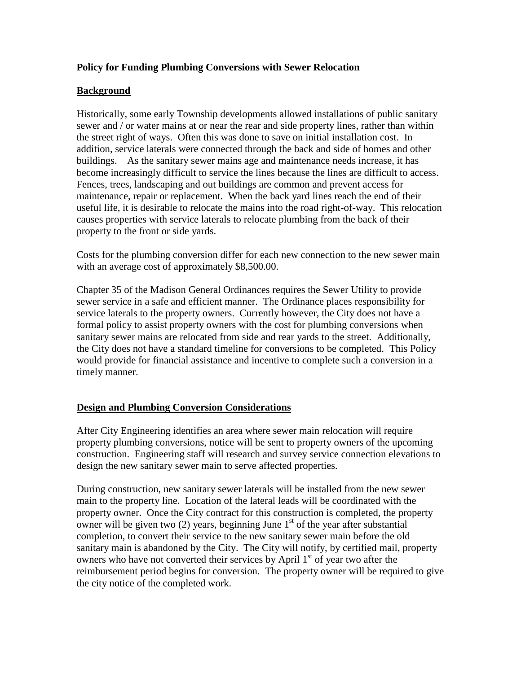# **Policy for Funding Plumbing Conversions with Sewer Relocation**

# **Background**

Historically, some early Township developments allowed installations of public sanitary sewer and / or water mains at or near the rear and side property lines, rather than within the street right of ways. Often this was done to save on initial installation cost. In addition, service laterals were connected through the back and side of homes and other buildings. As the sanitary sewer mains age and maintenance needs increase, it has become increasingly difficult to service the lines because the lines are difficult to access. Fences, trees, landscaping and out buildings are common and prevent access for maintenance, repair or replacement. When the back yard lines reach the end of their useful life, it is desirable to relocate the mains into the road right-of-way. This relocation causes properties with service laterals to relocate plumbing from the back of their property to the front or side yards.

Costs for the plumbing conversion differ for each new connection to the new sewer main with an average cost of approximately \$8,500.00.

Chapter 35 of the Madison General Ordinances requires the Sewer Utility to provide sewer service in a safe and efficient manner. The Ordinance places responsibility for service laterals to the property owners. Currently however, the City does not have a formal policy to assist property owners with the cost for plumbing conversions when sanitary sewer mains are relocated from side and rear yards to the street. Additionally, the City does not have a standard timeline for conversions to be completed. This Policy would provide for financial assistance and incentive to complete such a conversion in a timely manner.

### **Design and Plumbing Conversion Considerations**

After City Engineering identifies an area where sewer main relocation will require property plumbing conversions, notice will be sent to property owners of the upcoming construction. Engineering staff will research and survey service connection elevations to design the new sanitary sewer main to serve affected properties.

During construction, new sanitary sewer laterals will be installed from the new sewer main to the property line. Location of the lateral leads will be coordinated with the property owner. Once the City contract for this construction is completed, the property owner will be given two  $(2)$  years, beginning June  $1<sup>st</sup>$  of the year after substantial completion, to convert their service to the new sanitary sewer main before the old sanitary main is abandoned by the City. The City will notify, by certified mail, property owners who have not converted their services by April  $1<sup>st</sup>$  of year two after the reimbursement period begins for conversion. The property owner will be required to give the city notice of the completed work.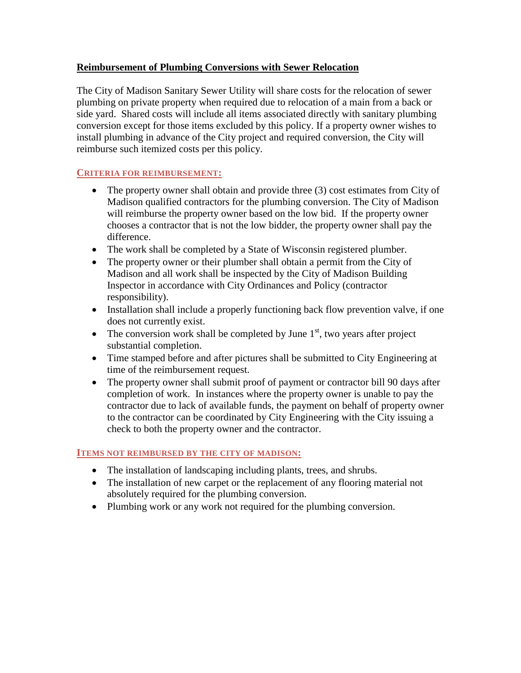# **Reimbursement of Plumbing Conversions with Sewer Relocation**

The City of Madison Sanitary Sewer Utility will share costs for the relocation of sewer plumbing on private property when required due to relocation of a main from a back or side yard. Shared costs will include all items associated directly with sanitary plumbing conversion except for those items excluded by this policy. If a property owner wishes to install plumbing in advance of the City project and required conversion, the City will reimburse such itemized costs per this policy.

### **CRITERIA FOR REIMBURSEMENT:**

- The property owner shall obtain and provide three (3) cost estimates from City of Madison qualified contractors for the plumbing conversion. The City of Madison will reimburse the property owner based on the low bid. If the property owner chooses a contractor that is not the low bidder, the property owner shall pay the difference.
- The work shall be completed by a State of Wisconsin registered plumber.
- The property owner or their plumber shall obtain a permit from the City of Madison and all work shall be inspected by the City of Madison Building Inspector in accordance with City Ordinances and Policy (contractor responsibility).
- Installation shall include a properly functioning back flow prevention valve, if one does not currently exist.
- The conversion work shall be completed by June  $1<sup>st</sup>$ , two years after project substantial completion.
- Time stamped before and after pictures shall be submitted to City Engineering at time of the reimbursement request.
- The property owner shall submit proof of payment or contractor bill 90 days after completion of work. In instances where the property owner is unable to pay the contractor due to lack of available funds, the payment on behalf of property owner to the contractor can be coordinated by City Engineering with the City issuing a check to both the property owner and the contractor.

### **ITEMS NOT REIMBURSED BY THE CITY OF MADISON:**

- The installation of landscaping including plants, trees, and shrubs.
- The installation of new carpet or the replacement of any flooring material not absolutely required for the plumbing conversion.
- Plumbing work or any work not required for the plumbing conversion.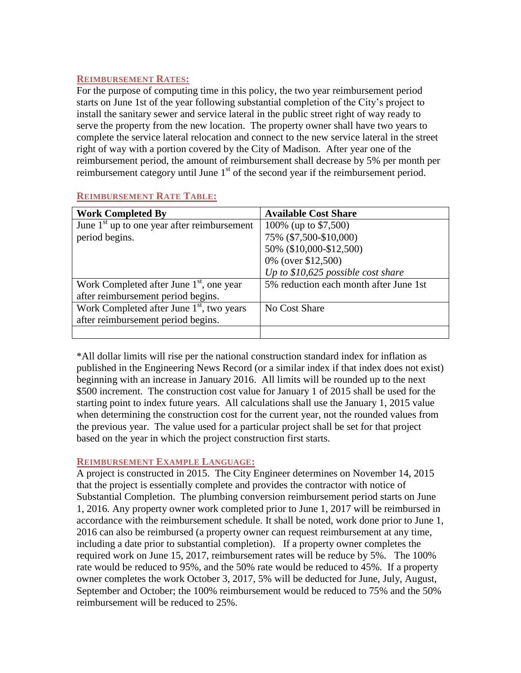#### **REIMBURSEMENT RATES:**

For the purpose of computing time in this policy, the two year reimbursement period starts on June 1st of the year following substantial completion of the City's project to install the sanitary sewer and service lateral in the public street right of way ready to serve the property from the new location. The property owner shall have two years to complete the service lateral relocation and connect to the new service lateral in the street right of way with a portion covered by the City of Madison. After year one of the reimbursement period, the amount of reimbursement shall decrease by 5% per month per reimbursement category until June  $1<sup>st</sup>$  of the second year if the reimbursement period.

| <b>Work Completed By</b>                      | <b>Available Cost Share</b>            |
|-----------------------------------------------|----------------------------------------|
| June $1st$ up to one year after reimbursement | 100\% (up to \$7,500)                  |
| period begins.                                | 75% (\$7,500-\$10,000)                 |
|                                               | 50% (\$10,000-\$12,500)                |
|                                               | 0% (over \$12,500)                     |
|                                               | Up to $$10,625$ possible cost share    |
| Work Completed after June $1st$ , one year    | 5% reduction each month after June 1st |
| after reimbursement period begins.            |                                        |
| Work Completed after June $1st$ , two years   | No Cost Share                          |
| after reimbursement period begins.            |                                        |
|                                               |                                        |

# **REIMBURSEMENT RATE TABLE:**

\*All dollar limits will rise per the national construction standard index for inflation as published in the Engineering News Record (or a similar index if that index does not exist) beginning with an increase in January 2016. All limits will be rounded up to the next \$500 increment. The construction cost value for January 1 of 2015 shall be used for the starting point to index future years. All calculations shall use the January 1, 2015 value when determining the construction cost for the current year, not the rounded values from the previous year. The value used for a particular project shall be set for that project based on the year in which the project construction first starts.

### **REIMBURSEMENT EXAMPLE LANGUAGE:**

A project is constructed in 2015. The City Engineer determines on November 14, 2015 that the project is essentially complete and provides the contractor with notice of Substantial Completion. The plumbing conversion reimbursement period starts on June 1, 2016. Any property owner work completed prior to June 1, 2017 will be reimbursed in accordance with the reimbursement schedule. It shall be noted, work done prior to June 1, 2016 can also be reimbursed (a property owner can request reimbursement at any time, including a date prior to substantial completion). If a property owner completes the required work on June 15, 2017, reimbursement rates will be reduce by 5%. The 100% rate would be reduced to 95%, and the 50% rate would be reduced to 45%. If a property owner completes the work October 3, 2017, 5% will be deducted for June, July, August, September and October; the 100% reimbursement would be reduced to 75% and the 50% reimbursement will be reduced to 25%.